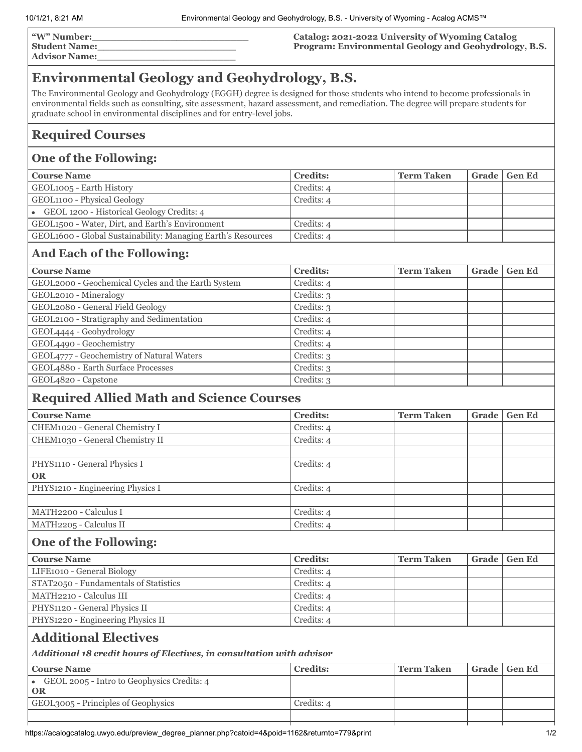| "W" Number:          |  |
|----------------------|--|
| <b>Student Name:</b> |  |

**Advisor Name:\_\_\_\_\_\_\_\_\_\_\_\_\_\_\_\_\_\_\_\_\_\_\_**

#### **Catalog: 2021-2022 University of Wyoming Catalog Program: Environmental Geology and Geohydrology, B.S.**

# **Environmental Geology and Geohydrology, B.S.**

The Environmental Geology and Geohydrology (EGGH) degree is designed for those students who intend to become professionals in environmental fields such as consulting, site assessment, hazard assessment, and remediation. The degree will prepare students for graduate school in environmental disciplines and for entry-level jobs.

#### **Required Courses**

#### **One of the Following:**

| <b>Course Name</b>                                           | <b>Credits:</b> | <b>Term Taken</b> | Grade   Gen Ed |
|--------------------------------------------------------------|-----------------|-------------------|----------------|
| GEOL <sub>1005</sub> - Earth History                         | Credits: 4      |                   |                |
| GEOL1100 - Physical Geology                                  | Credits: 4      |                   |                |
| • GEOL 1200 - Historical Geology Credits: 4                  |                 |                   |                |
| GEOL <sub>1500</sub> - Water, Dirt, and Earth's Environment  | Credits: 4      |                   |                |
| GEOL1600 - Global Sustainability: Managing Earth's Resources | Credits: 4      |                   |                |
|                                                              |                 |                   |                |

#### **And Each of the Following:**

| <b>Course Name</b>                                 | <b>Credits:</b> | <b>Term Taken</b> | Grade | <b>Gen Ed</b> |
|----------------------------------------------------|-----------------|-------------------|-------|---------------|
| GEOL2000 - Geochemical Cycles and the Earth System | Credits: 4      |                   |       |               |
| GEOL2010 - Mineralogy                              | Credits: 3      |                   |       |               |
| GEOL2080 - General Field Geology                   | Credits: 3      |                   |       |               |
| GEOL2100 - Stratigraphy and Sedimentation          | Credits: 4      |                   |       |               |
| GEOL4444 - Geohydrology                            | Credits: 4      |                   |       |               |
| GEOL4490 - Geochemistry                            | Credits: 4      |                   |       |               |
| GEOL4777 - Geochemistry of Natural Waters          | Credits: 3      |                   |       |               |
| GEOL4880 - Earth Surface Processes                 | Credits: 3      |                   |       |               |
| GEOL4820 - Capstone                                | Credits: 3      |                   |       |               |

#### **Required Allied Math and Science Courses**

| <b>Course Name</b>               | <b>Credits:</b> | <b>Term Taken</b> | Grade | <b>Gen Ed</b> |
|----------------------------------|-----------------|-------------------|-------|---------------|
| CHEM1020 - General Chemistry I   | Credits: 4      |                   |       |               |
| CHEM1030 - General Chemistry II  | Credits: 4      |                   |       |               |
|                                  |                 |                   |       |               |
| PHYS1110 - General Physics I     | Credits: 4      |                   |       |               |
| <b>OR</b>                        |                 |                   |       |               |
| PHYS1210 - Engineering Physics I | Credits: 4      |                   |       |               |
|                                  |                 |                   |       |               |
| MATH2200 - Calculus I            | Credits: 4      |                   |       |               |
| MATH2205 - Calculus II           | Credits: 4      |                   |       |               |

## **One of the Following:**

| <b>Course Name</b>                    | <b>Credits:</b> | <b>Term Taken</b> | Grade   Gen Ed |
|---------------------------------------|-----------------|-------------------|----------------|
| LIFE1010 - General Biology            | Credits: 4      |                   |                |
| STAT2050 - Fundamentals of Statistics | Credits: 4      |                   |                |
| MATH2210 - Calculus III               | Credits: 4      |                   |                |
| PHYS1120 - General Physics II         | Credits: 4      |                   |                |
| PHYS1220 - Engineering Physics II     | Credits: 4      |                   |                |

### **Additional Electives**

*Additional 18 credit hours of Electives, in consultation with advisor*

| <b>Course Name</b>                                         | <b>Credits:</b> | <b>Term Taken</b> | Grade   Gen Ed |
|------------------------------------------------------------|-----------------|-------------------|----------------|
| $\bullet$ GEOL 2005 - Intro to Geophysics Credits: 4<br>OR |                 |                   |                |
| GEOL3005 - Principles of Geophysics                        | Credits: 4      |                   |                |
|                                                            |                 |                   |                |